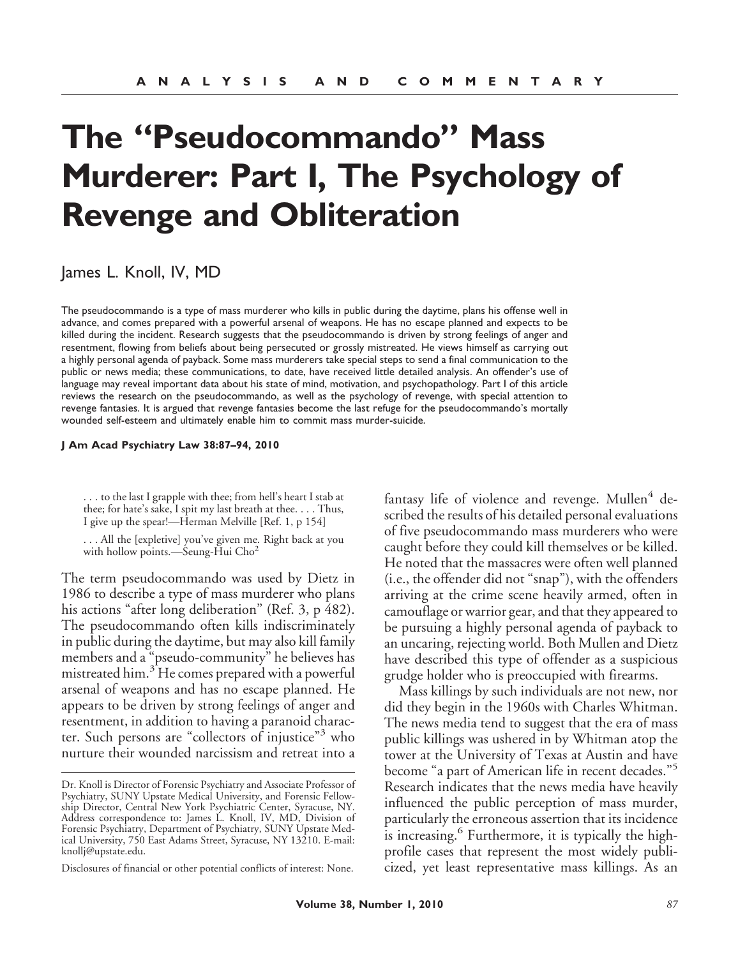# **The "Pseudocommando" Mass Murderer: Part I, The Psychology of Revenge and Obliteration**

James L. Knoll, IV, MD

The pseudocommando is a type of mass murderer who kills in public during the daytime, plans his offense well in advance, and comes prepared with a powerful arsenal of weapons. He has no escape planned and expects to be killed during the incident. Research suggests that the pseudocommando is driven by strong feelings of anger and resentment, flowing from beliefs about being persecuted or grossly mistreated. He views himself as carrying out a highly personal agenda of payback. Some mass murderers take special steps to send a final communication to the public or news media; these communications, to date, have received little detailed analysis. An offender's use of language may reveal important data about his state of mind, motivation, and psychopathology. Part I of this article reviews the research on the pseudocommando, as well as the psychology of revenge, with special attention to revenge fantasies. It is argued that revenge fantasies become the last refuge for the pseudocommando's mortally wounded self-esteem and ultimately enable him to commit mass murder-suicide.

**J Am Acad Psychiatry Law 38:87–94, 2010**

. . . to the last I grapple with thee; from hell's heart I stab at thee; for hate's sake, I spit my last breath at thee.... Thus, I give up the spear!—Herman Melville [Ref. 1, p 154]

. . . All the [expletive] you've given me. Right back at you with hollow points.—Seung-Hui Cho<sup>2</sup>

The term pseudocommando was used by Dietz in 1986 to describe a type of mass murderer who plans his actions "after long deliberation" (Ref. 3, p 482). The pseudocommando often kills indiscriminately in public during the daytime, but may also kill family members and a "pseudo-community" he believes has mistreated him.<sup>3</sup> He comes prepared with a powerful arsenal of weapons and has no escape planned. He appears to be driven by strong feelings of anger and resentment, in addition to having a paranoid character. Such persons are "collectors of injustice"<sup>3</sup> who nurture their wounded narcissism and retreat into a

Disclosures of financial or other potential conflicts of interest: None.

fantasy life of violence and revenge. Mullen $4$  described the results of his detailed personal evaluations of five pseudocommando mass murderers who were caught before they could kill themselves or be killed. He noted that the massacres were often well planned (i.e., the offender did not "snap"), with the offenders arriving at the crime scene heavily armed, often in camouflage or warrior gear, and that they appeared to be pursuing a highly personal agenda of payback to an uncaring, rejecting world. Both Mullen and Dietz have described this type of offender as a suspicious grudge holder who is preoccupied with firearms.

Mass killings by such individuals are not new, nor did they begin in the 1960s with Charles Whitman. The news media tend to suggest that the era of mass public killings was ushered in by Whitman atop the tower at the University of Texas at Austin and have become "a part of American life in recent decades."<sup>5</sup> Research indicates that the news media have heavily influenced the public perception of mass murder, particularly the erroneous assertion that its incidence is increasing.<sup>6</sup> Furthermore, it is typically the highprofile cases that represent the most widely publicized, yet least representative mass killings. As an

Dr. Knoll is Director of Forensic Psychiatry and Associate Professor of Psychiatry, SUNY Upstate Medical University, and Forensic Fellowship Director, Central New York Psychiatric Center, Syracuse, NY. Address correspondence to: James L. Knoll, IV, MD, Division of Forensic Psychiatry, Department of Psychiatry, SUNY Upstate Medical University, 750 East Adams Street, Syracuse, NY 13210. E-mail: knollj@upstate.edu.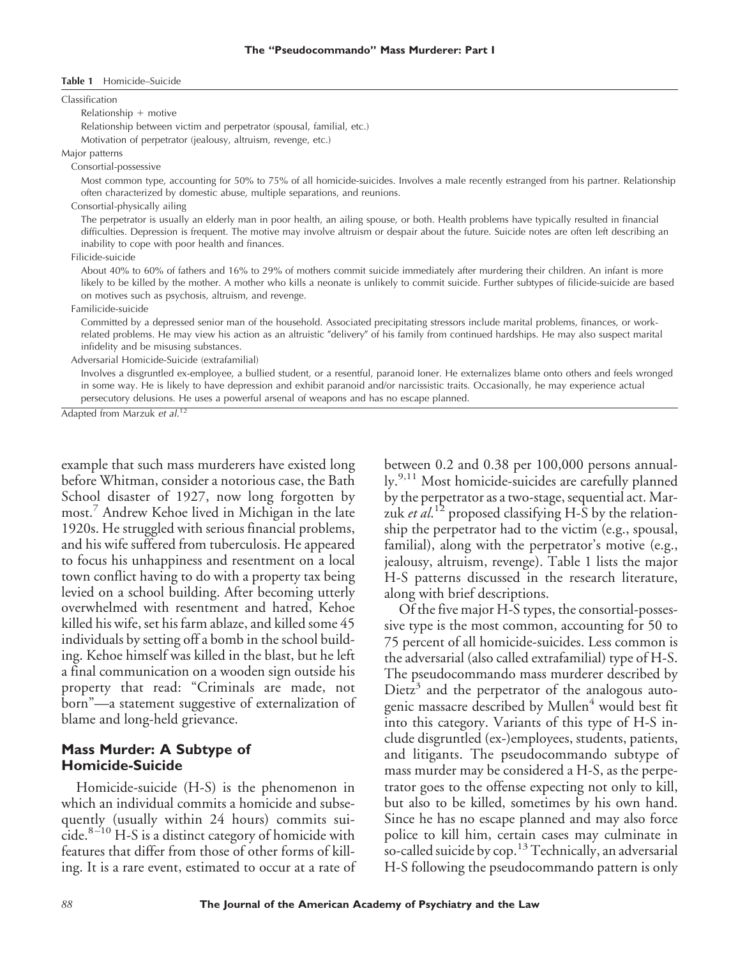#### **Table 1** Homicide–Suicide

Classification

Relationship  $+$  motive

Relationship between victim and perpetrator (spousal, familial, etc.) Motivation of perpetrator (jealousy, altruism, revenge, etc.)

Major patterns

Consortial-possessive

Most common type, accounting for 50% to 75% of all homicide-suicides. Involves a male recently estranged from his partner. Relationship often characterized by domestic abuse, multiple separations, and reunions.

Consortial-physically ailing

The perpetrator is usually an elderly man in poor health, an ailing spouse, or both. Health problems have typically resulted in financial difficulties. Depression is frequent. The motive may involve altruism or despair about the future. Suicide notes are often left describing an inability to cope with poor health and finances.

Filicide-suicide

About 40% to 60% of fathers and 16% to 29% of mothers commit suicide immediately after murdering their children. An infant is more likely to be killed by the mother. A mother who kills a neonate is unlikely to commit suicide. Further subtypes of filicide-suicide are based on motives such as psychosis, altruism, and revenge.

Familicide-suicide

Committed by a depressed senior man of the household. Associated precipitating stressors include marital problems, finances, or workrelated problems. He may view his action as an altruistic "delivery" of his family from continued hardships. He may also suspect marital infidelity and be misusing substances.

Adversarial Homicide-Suicide (extrafamilial)

Involves a disgruntled ex-employee, a bullied student, or a resentful, paranoid Ioner. He externalizes blame onto others and feels wronged in some way. He is likely to have depression and exhibit paranoid and/or narcissistic traits. Occasionally, he may experience actual persecutory delusions. He uses a powerful arsenal of weapons and has no escape planned.

Adapted from Marzuk *et al.*<sup>12</sup>

example that such mass murderers have existed long before Whitman, consider a notorious case, the Bath School disaster of 1927, now long forgotten by most.<sup>7</sup> Andrew Kehoe lived in Michigan in the late 1920s. He struggled with serious financial problems, and his wife suffered from tuberculosis. He appeared to focus his unhappiness and resentment on a local town conflict having to do with a property tax being levied on a school building. After becoming utterly overwhelmed with resentment and hatred, Kehoe killed his wife, set his farm ablaze, and killed some 45 individuals by setting off a bomb in the school building. Kehoe himself was killed in the blast, but he left a final communication on a wooden sign outside his property that read: "Criminals are made, not born"—a statement suggestive of externalization of blame and long-held grievance.

### **Mass Murder: A Subtype of Homicide-Suicide**

Homicide-suicide (H-S) is the phenomenon in which an individual commits a homicide and subsequently (usually within 24 hours) commits suicide. $8-10$  H-S is a distinct category of homicide with features that differ from those of other forms of killing. It is a rare event, estimated to occur at a rate of between 0.2 and 0.38 per 100,000 persons annually.<sup>9,11</sup> Most homicide-suicides are carefully planned by the perpetrator as a two-stage, sequential act. Marzuk *et al*. <sup>12</sup> proposed classifying H-S by the relationship the perpetrator had to the victim (e.g., spousal, familial), along with the perpetrator's motive (e.g., jealousy, altruism, revenge). Table 1 lists the major H-S patterns discussed in the research literature, along with brief descriptions.

Of the five major H-S types, the consortial-possessive type is the most common, accounting for 50 to 75 percent of all homicide-suicides. Less common is the adversarial (also called extrafamilial) type of H-S. The pseudocommando mass murderer described by Dietz<sup>3</sup> and the perpetrator of the analogous autogenic massacre described by Mullen<sup>4</sup> would best fit into this category. Variants of this type of H-S include disgruntled (ex-)employees, students, patients, and litigants. The pseudocommando subtype of mass murder may be considered a H-S, as the perpetrator goes to the offense expecting not only to kill, but also to be killed, sometimes by his own hand. Since he has no escape planned and may also force police to kill him, certain cases may culminate in so-called suicide by  $\text{cop.}^{13}$  Technically, an adversarial H-S following the pseudocommando pattern is only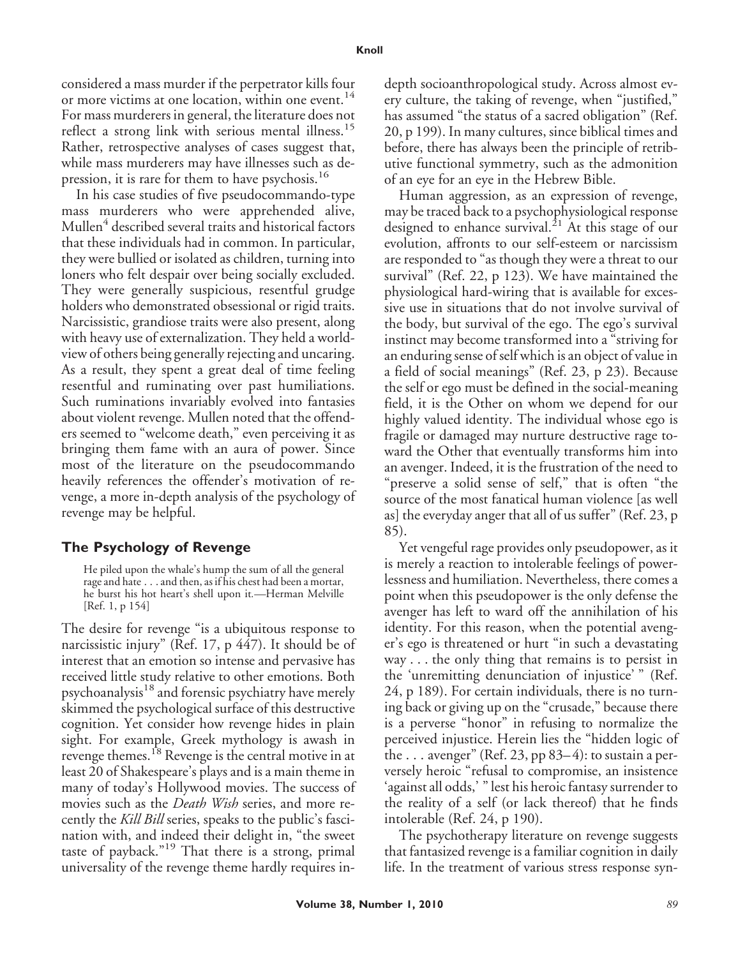considered a mass murder if the perpetrator kills four or more victims at one location, within one event.<sup>14</sup> For mass murderers in general, the literature does not reflect a strong link with serious mental illness.<sup>15</sup> Rather, retrospective analyses of cases suggest that, while mass murderers may have illnesses such as depression, it is rare for them to have psychosis.<sup>16</sup>

In his case studies of five pseudocommando-type mass murderers who were apprehended alive, Mullen<sup>4</sup> described several traits and historical factors that these individuals had in common. In particular, they were bullied or isolated as children, turning into loners who felt despair over being socially excluded. They were generally suspicious, resentful grudge holders who demonstrated obsessional or rigid traits. Narcissistic, grandiose traits were also present, along with heavy use of externalization. They held a worldview of others being generally rejecting and uncaring. As a result, they spent a great deal of time feeling resentful and ruminating over past humiliations. Such ruminations invariably evolved into fantasies about violent revenge. Mullen noted that the offenders seemed to "welcome death," even perceiving it as bringing them fame with an aura of power. Since most of the literature on the pseudocommando heavily references the offender's motivation of revenge, a more in-depth analysis of the psychology of revenge may be helpful.

## **The Psychology of Revenge**

He piled upon the whale's hump the sum of all the general rage and hate . . . and then, as if his chest had been a mortar, he burst his hot heart's shell upon it*.—*Herman Melville [Ref. 1, p 154]

The desire for revenge "is a ubiquitous response to narcissistic injury" (Ref. 17, p 447). It should be of interest that an emotion so intense and pervasive has received little study relative to other emotions. Both psychoanalysis<sup>18</sup> and forensic psychiatry have merely skimmed the psychological surface of this destructive cognition. Yet consider how revenge hides in plain sight. For example, Greek mythology is awash in revenge themes.<sup>18</sup> Revenge is the central motive in at least 20 of Shakespeare's plays and is a main theme in many of today's Hollywood movies. The success of movies such as the *Death Wish* series, and more recently the *Kill Bill* series, speaks to the public's fascination with, and indeed their delight in, "the sweet taste of payback."<sup>19</sup> That there is a strong, primal universality of the revenge theme hardly requires indepth socioanthropological study. Across almost every culture, the taking of revenge, when "justified," has assumed "the status of a sacred obligation" (Ref. 20, p 199). In many cultures, since biblical times and before, there has always been the principle of retributive functional symmetry, such as the admonition of an eye for an eye in the Hebrew Bible.

Human aggression, as an expression of revenge, may be traced back to a psychophysiological response designed to enhance survival.<sup>21</sup> At this stage of our evolution, affronts to our self-esteem or narcissism are responded to "as though they were a threat to our survival" (Ref. 22, p 123). We have maintained the physiological hard-wiring that is available for excessive use in situations that do not involve survival of the body, but survival of the ego. The ego's survival instinct may become transformed into a "striving for an enduring sense of self which is an object of value in a field of social meanings" (Ref. 23, p 23). Because the self or ego must be defined in the social-meaning field, it is the Other on whom we depend for our highly valued identity. The individual whose ego is fragile or damaged may nurture destructive rage toward the Other that eventually transforms him into an avenger. Indeed, it is the frustration of the need to "preserve a solid sense of self," that is often "the source of the most fanatical human violence [as well as] the everyday anger that all of us suffer" (Ref. 23, p 85).

Yet vengeful rage provides only pseudopower, as it is merely a reaction to intolerable feelings of powerlessness and humiliation. Nevertheless, there comes a point when this pseudopower is the only defense the avenger has left to ward off the annihilation of his identity. For this reason, when the potential avenger's ego is threatened or hurt "in such a devastating way . . . the only thing that remains is to persist in the 'unremitting denunciation of injustice' " (Ref. 24, p 189). For certain individuals, there is no turning back or giving up on the "crusade," because there is a perverse "honor" in refusing to normalize the perceived injustice. Herein lies the "hidden logic of the ... avenger" (Ref. 23, pp 83–4): to sustain a perversely heroic "refusal to compromise, an insistence 'against all odds,' " lest his heroic fantasy surrender to the reality of a self (or lack thereof) that he finds intolerable (Ref. 24, p 190).

The psychotherapy literature on revenge suggests that fantasized revenge is a familiar cognition in daily life. In the treatment of various stress response syn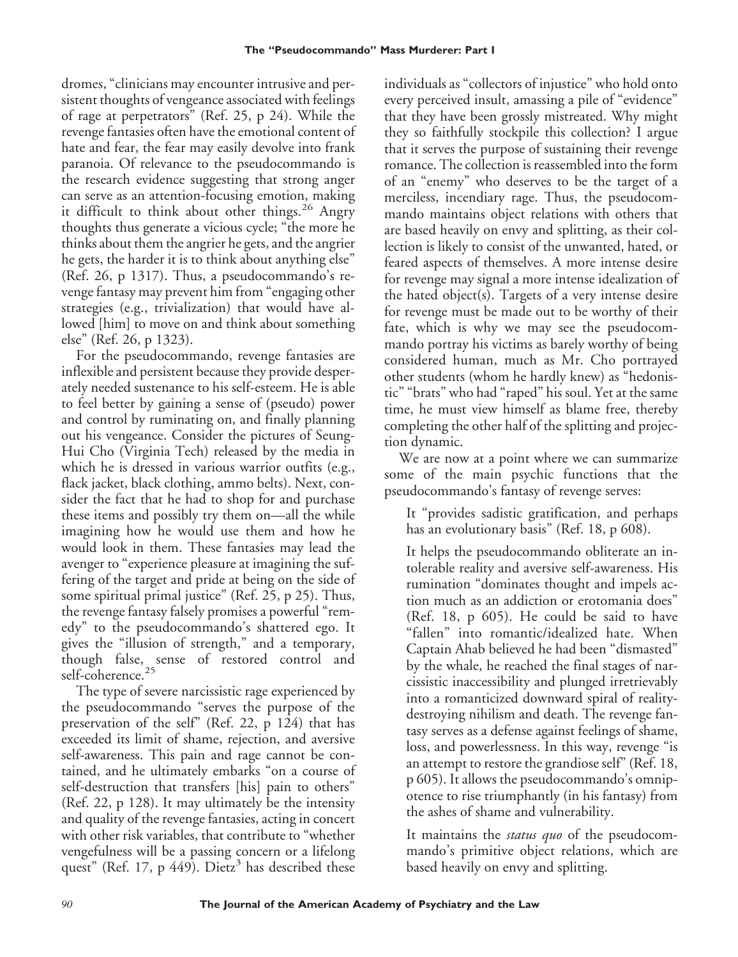dromes, "clinicians may encounter intrusive and persistent thoughts of vengeance associated with feelings of rage at perpetrators" (Ref. 25, p 24). While the revenge fantasies often have the emotional content of hate and fear, the fear may easily devolve into frank paranoia. Of relevance to the pseudocommando is the research evidence suggesting that strong anger can serve as an attention-focusing emotion, making it difficult to think about other things.<sup>26</sup> Angry thoughts thus generate a vicious cycle; "the more he thinks about them the angrier he gets, and the angrier he gets, the harder it is to think about anything else" (Ref. 26, p 1317). Thus, a pseudocommando's revenge fantasy may prevent him from "engaging other strategies (e.g., trivialization) that would have allowed [him] to move on and think about something else" (Ref. 26, p 1323).

For the pseudocommando, revenge fantasies are inflexible and persistent because they provide desperately needed sustenance to his self-esteem. He is able to feel better by gaining a sense of (pseudo) power and control by ruminating on, and finally planning out his vengeance. Consider the pictures of Seung-Hui Cho (Virginia Tech) released by the media in which he is dressed in various warrior outfits (e.g., flack jacket, black clothing, ammo belts). Next, consider the fact that he had to shop for and purchase these items and possibly try them on—all the while imagining how he would use them and how he would look in them. These fantasies may lead the avenger to "experience pleasure at imagining the suffering of the target and pride at being on the side of some spiritual primal justice" (Ref. 25, p 25). Thus, the revenge fantasy falsely promises a powerful "remedy" to the pseudocommando's shattered ego. It gives the "illusion of strength," and a temporary, though false, sense of restored control and self-coherence.<sup>25</sup>

The type of severe narcissistic rage experienced by the pseudocommando "serves the purpose of the preservation of the self" (Ref. 22, p 124) that has exceeded its limit of shame, rejection, and aversive self-awareness. This pain and rage cannot be contained, and he ultimately embarks "on a course of self-destruction that transfers [his] pain to others" (Ref. 22, p 128). It may ultimately be the intensity and quality of the revenge fantasies, acting in concert with other risk variables, that contribute to "whether vengefulness will be a passing concern or a lifelong quest" (Ref. 17, p 449). Dietz<sup>3</sup> has described these

individuals as "collectors of injustice" who hold onto every perceived insult, amassing a pile of "evidence" that they have been grossly mistreated. Why might they so faithfully stockpile this collection? I argue that it serves the purpose of sustaining their revenge romance. The collection is reassembled into the form of an "enemy" who deserves to be the target of a merciless, incendiary rage. Thus, the pseudocommando maintains object relations with others that are based heavily on envy and splitting, as their collection is likely to consist of the unwanted, hated, or feared aspects of themselves. A more intense desire for revenge may signal a more intense idealization of the hated object(s). Targets of a very intense desire for revenge must be made out to be worthy of their fate, which is why we may see the pseudocommando portray his victims as barely worthy of being considered human, much as Mr. Cho portrayed other students (whom he hardly knew) as "hedonistic" "brats" who had "raped" his soul. Yet at the same time, he must view himself as blame free, thereby completing the other half of the splitting and projection dynamic.

We are now at a point where we can summarize some of the main psychic functions that the pseudocommando's fantasy of revenge serves:

It "provides sadistic gratification, and perhaps has an evolutionary basis" (Ref. 18, p 608).

It helps the pseudocommando obliterate an intolerable reality and aversive self-awareness. His rumination "dominates thought and impels action much as an addiction or erotomania does" (Ref. 18, p 605). He could be said to have "fallen" into romantic/idealized hate. When Captain Ahab believed he had been "dismasted" by the whale, he reached the final stages of narcissistic inaccessibility and plunged irretrievably into a romanticized downward spiral of realitydestroying nihilism and death. The revenge fantasy serves as a defense against feelings of shame, loss, and powerlessness. In this way, revenge "is an attempt to restore the grandiose self" (Ref. 18, p 605). It allows the pseudocommando's omnipotence to rise triumphantly (in his fantasy) from the ashes of shame and vulnerability.

It maintains the *status quo* of the pseudocommando's primitive object relations, which are based heavily on envy and splitting.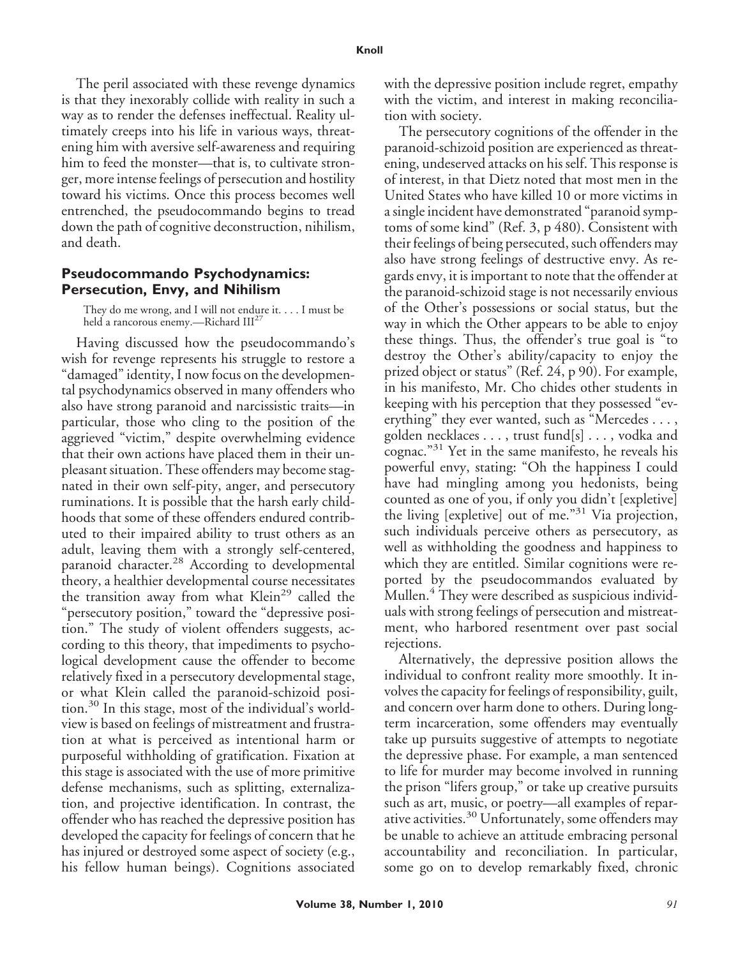The peril associated with these revenge dynamics is that they inexorably collide with reality in such a way as to render the defenses ineffectual. Reality ultimately creeps into his life in various ways, threatening him with aversive self-awareness and requiring him to feed the monster—that is, to cultivate stronger, more intense feelings of persecution and hostility toward his victims. Once this process becomes well entrenched, the pseudocommando begins to tread down the path of cognitive deconstruction, nihilism, and death.

### **Pseudocommando Psychodynamics: Persecution, Envy, and Nihilism**

They do me wrong, and I will not endure it. . . . I must be held a rancorous enemy.—Richard III<sup>27</sup>

Having discussed how the pseudocommando's wish for revenge represents his struggle to restore a "damaged" identity, I now focus on the developmental psychodynamics observed in many offenders who also have strong paranoid and narcissistic traits—in particular, those who cling to the position of the aggrieved "victim," despite overwhelming evidence that their own actions have placed them in their unpleasant situation. These offenders may become stagnated in their own self-pity, anger, and persecutory ruminations. It is possible that the harsh early childhoods that some of these offenders endured contributed to their impaired ability to trust others as an adult, leaving them with a strongly self-centered, paranoid character.<sup>28</sup> According to developmental theory, a healthier developmental course necessitates the transition away from what Klein<sup>29</sup> called the "persecutory position," toward the "depressive position." The study of violent offenders suggests, according to this theory, that impediments to psychological development cause the offender to become relatively fixed in a persecutory developmental stage, or what Klein called the paranoid-schizoid position.<sup>30</sup> In this stage, most of the individual's worldview is based on feelings of mistreatment and frustration at what is perceived as intentional harm or purposeful withholding of gratification. Fixation at this stage is associated with the use of more primitive defense mechanisms, such as splitting, externalization, and projective identification. In contrast, the offender who has reached the depressive position has developed the capacity for feelings of concern that he has injured or destroyed some aspect of society (e.g., his fellow human beings). Cognitions associated with the depressive position include regret, empathy with the victim, and interest in making reconciliation with society.

The persecutory cognitions of the offender in the paranoid-schizoid position are experienced as threatening, undeserved attacks on his self. This response is of interest, in that Dietz noted that most men in the United States who have killed 10 or more victims in a single incident have demonstrated "paranoid symptoms of some kind" (Ref. 3, p 480). Consistent with their feelings of being persecuted, such offenders may also have strong feelings of destructive envy. As regards envy, it is important to note that the offender at the paranoid-schizoid stage is not necessarily envious of the Other's possessions or social status, but the way in which the Other appears to be able to enjoy these things. Thus, the offender's true goal is "to destroy the Other's ability/capacity to enjoy the prized object or status" (Ref. 24, p 90). For example, in his manifesto, Mr. Cho chides other students in keeping with his perception that they possessed "everything" they ever wanted, such as "Mercedes..., golden necklaces..., trust fund[s]..., vodka and cognac."<sup>31</sup> Yet in the same manifesto, he reveals his powerful envy, stating: "Oh the happiness I could have had mingling among you hedonists, being counted as one of you, if only you didn't [expletive] the living [expletive] out of me."<sup>31</sup> Via projection, such individuals perceive others as persecutory, as well as withholding the goodness and happiness to which they are entitled. Similar cognitions were reported by the pseudocommandos evaluated by Mullen.<sup>4</sup> They were described as suspicious individuals with strong feelings of persecution and mistreatment, who harbored resentment over past social rejections.

Alternatively, the depressive position allows the individual to confront reality more smoothly. It involves the capacity for feelings of responsibility, guilt, and concern over harm done to others. During longterm incarceration, some offenders may eventually take up pursuits suggestive of attempts to negotiate the depressive phase. For example, a man sentenced to life for murder may become involved in running the prison "lifers group," or take up creative pursuits such as art, music, or poetry—all examples of reparative activities.<sup>30</sup> Unfortunately, some offenders may be unable to achieve an attitude embracing personal accountability and reconciliation. In particular, some go on to develop remarkably fixed, chronic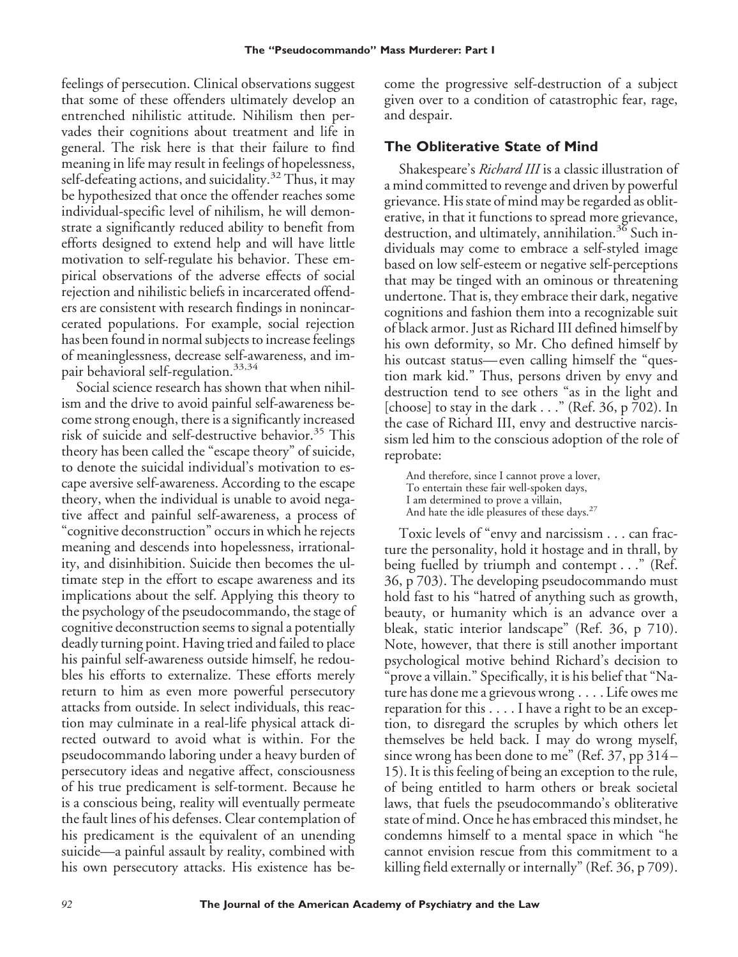feelings of persecution. Clinical observations suggest that some of these offenders ultimately develop an entrenched nihilistic attitude. Nihilism then pervades their cognitions about treatment and life in general. The risk here is that their failure to find meaning in life may result in feelings of hopelessness, self-defeating actions, and suicidality.<sup>32</sup> Thus, it may be hypothesized that once the offender reaches some individual-specific level of nihilism, he will demonstrate a significantly reduced ability to benefit from efforts designed to extend help and will have little motivation to self-regulate his behavior. These empirical observations of the adverse effects of social rejection and nihilistic beliefs in incarcerated offenders are consistent with research findings in nonincarcerated populations. For example, social rejection has been found in normal subjects to increase feelings of meaninglessness, decrease self-awareness, and impair behavioral self-regulation.<sup>33,34</sup>

Social science research has shown that when nihilism and the drive to avoid painful self-awareness become strong enough, there is a significantly increased risk of suicide and self-destructive behavior.<sup>35</sup> This theory has been called the "escape theory" of suicide, to denote the suicidal individual's motivation to escape aversive self-awareness. According to the escape theory, when the individual is unable to avoid negative affect and painful self-awareness, a process of "cognitive deconstruction" occurs in which he rejects meaning and descends into hopelessness, irrationality, and disinhibition. Suicide then becomes the ultimate step in the effort to escape awareness and its implications about the self. Applying this theory to the psychology of the pseudocommando, the stage of cognitive deconstruction seems to signal a potentially deadly turning point. Having tried and failed to place his painful self-awareness outside himself, he redoubles his efforts to externalize. These efforts merely return to him as even more powerful persecutory attacks from outside. In select individuals, this reaction may culminate in a real-life physical attack directed outward to avoid what is within. For the pseudocommando laboring under a heavy burden of persecutory ideas and negative affect, consciousness of his true predicament is self-torment. Because he is a conscious being, reality will eventually permeate the fault lines of his defenses. Clear contemplation of his predicament is the equivalent of an unending suicide—a painful assault by reality, combined with his own persecutory attacks. His existence has become the progressive self-destruction of a subject given over to a condition of catastrophic fear, rage, and despair.

# **The Obliterative State of Mind**

Shakespeare's *Richard III* is a classic illustration of a mind committed to revenge and driven by powerful grievance. His state of mind may be regarded as obliterative, in that it functions to spread more grievance, destruction, and ultimately, annihilation.<sup>36</sup> Such individuals may come to embrace a self-styled image based on low self-esteem or negative self-perceptions that may be tinged with an ominous or threatening undertone. That is, they embrace their dark, negative cognitions and fashion them into a recognizable suit of black armor. Just as Richard III defined himself by his own deformity, so Mr. Cho defined himself by his outcast status— even calling himself the "question mark kid." Thus, persons driven by envy and destruction tend to see others "as in the light and [choose] to stay in the dark  $\ldots$ " (Ref. 36, p 702). In the case of Richard III, envy and destructive narcissism led him to the conscious adoption of the role of reprobate:

And therefore, since I cannot prove a lover, To entertain these fair well-spoken days, I am determined to prove a villain, And hate the idle pleasures of these days.<sup>27</sup>

Toxic levels of "envy and narcissism . . . can fracture the personality, hold it hostage and in thrall, by being fuelled by triumph and contempt . . ." (Ref. 36, p 703). The developing pseudocommando must hold fast to his "hatred of anything such as growth, beauty, or humanity which is an advance over a bleak, static interior landscape" (Ref. 36, p 710). Note, however, that there is still another important psychological motive behind Richard's decision to "prove a villain." Specifically, it is his belief that "Nature has done me a grievous wrong.... Life owes me reparation for this....I have a right to be an exception, to disregard the scruples by which others let themselves be held back. I may do wrong myself, since wrong has been done to me" (Ref. 37, pp 314 – 15). It is this feeling of being an exception to the rule, of being entitled to harm others or break societal laws, that fuels the pseudocommando's obliterative state of mind. Once he has embraced this mindset, he condemns himself to a mental space in which "he cannot envision rescue from this commitment to a killing field externally or internally" (Ref. 36, p 709).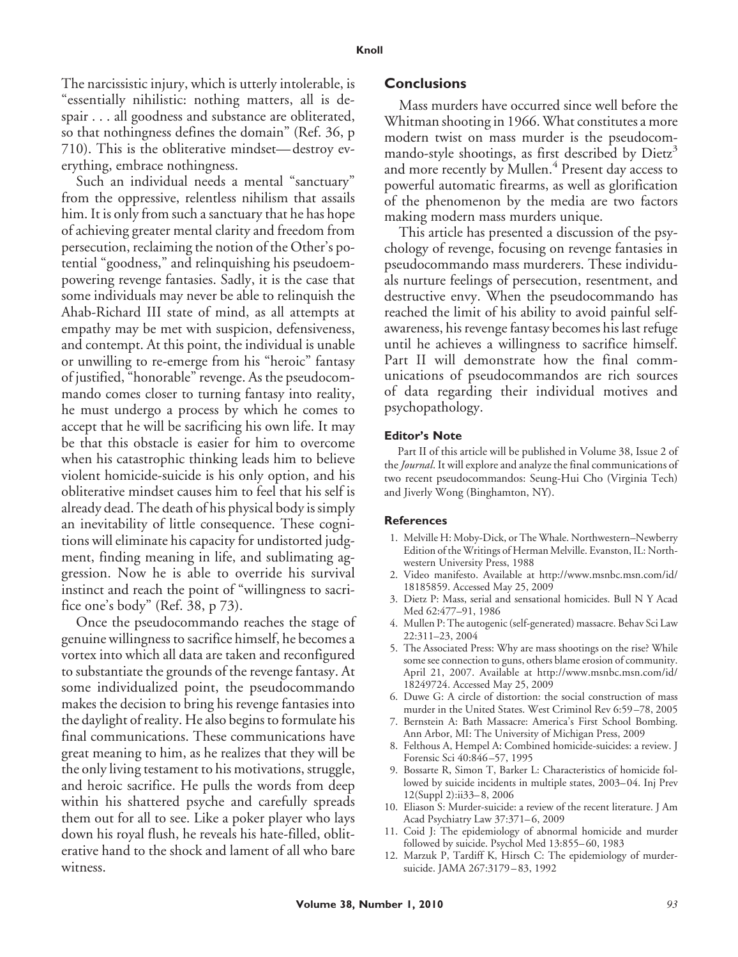The narcissistic injury, which is utterly intolerable, is "essentially nihilistic: nothing matters, all is despair . . . all goodness and substance are obliterated, so that nothingness defines the domain" (Ref. 36, p 710). This is the obliterative mindset— destroy everything, embrace nothingness.

Such an individual needs a mental "sanctuary" from the oppressive, relentless nihilism that assails him. It is only from such a sanctuary that he has hope of achieving greater mental clarity and freedom from persecution, reclaiming the notion of the Other's potential "goodness," and relinquishing his pseudoempowering revenge fantasies. Sadly, it is the case that some individuals may never be able to relinquish the Ahab-Richard III state of mind, as all attempts at empathy may be met with suspicion, defensiveness, and contempt. At this point, the individual is unable or unwilling to re-emerge from his "heroic" fantasy of justified, "honorable" revenge. As the pseudocommando comes closer to turning fantasy into reality, he must undergo a process by which he comes to accept that he will be sacrificing his own life. It may be that this obstacle is easier for him to overcome when his catastrophic thinking leads him to believe violent homicide-suicide is his only option, and his obliterative mindset causes him to feel that his self is already dead. The death of his physical body is simply an inevitability of little consequence. These cognitions will eliminate his capacity for undistorted judgment, finding meaning in life, and sublimating aggression. Now he is able to override his survival instinct and reach the point of "willingness to sacrifice one's body" (Ref. 38, p 73).

Once the pseudocommando reaches the stage of genuine willingness to sacrifice himself, he becomes a vortex into which all data are taken and reconfigured to substantiate the grounds of the revenge fantasy. At some individualized point, the pseudocommando makes the decision to bring his revenge fantasies into the daylight of reality. He also begins to formulate his final communications. These communications have great meaning to him, as he realizes that they will be the only living testament to his motivations, struggle, and heroic sacrifice. He pulls the words from deep within his shattered psyche and carefully spreads them out for all to see. Like a poker player who lays down his royal flush, he reveals his hate-filled, obliterative hand to the shock and lament of all who bare witness.

### **Conclusions**

Mass murders have occurred since well before the Whitman shooting in 1966. What constitutes a more modern twist on mass murder is the pseudocommando-style shootings, as first described by  $Dietz<sup>3</sup>$ and more recently by Mullen.<sup>4</sup> Present day access to powerful automatic firearms, as well as glorification of the phenomenon by the media are two factors making modern mass murders unique.

This article has presented a discussion of the psychology of revenge, focusing on revenge fantasies in pseudocommando mass murderers. These individuals nurture feelings of persecution, resentment, and destructive envy. When the pseudocommando has reached the limit of his ability to avoid painful selfawareness, his revenge fantasy becomes his last refuge until he achieves a willingness to sacrifice himself. Part II will demonstrate how the final communications of pseudocommandos are rich sources of data regarding their individual motives and psychopathology.

#### **Editor's Note**

Part II of this article will be published in Volume 38, Issue 2 of the*Journal*. It will explore and analyze the final communications of two recent pseudocommandos: Seung-Hui Cho (Virginia Tech) and Jiverly Wong (Binghamton, NY).

#### **References**

- 1. Melville H: Moby-Dick, or The Whale. Northwestern–Newberry Edition of the Writings of Herman Melville. Evanston, IL: Northwestern University Press, 1988
- 2. Video manifesto. Available at http://www.msnbc.msn.com/id/ 18185859. Accessed May 25, 2009
- 3. Dietz P: Mass, serial and sensational homicides. Bull N Y Acad Med 62:477–91, 1986
- 4. Mullen P: The autogenic (self-generated) massacre. Behav Sci Law 22:311–23, 2004
- 5. The Associated Press: Why are mass shootings on the rise? While some see connection to guns, others blame erosion of community. April 21, 2007. Available at http://www.msnbc.msn.com/id/ 18249724. Accessed May 25, 2009
- 6. Duwe G: A circle of distortion: the social construction of mass murder in the United States. West Criminol Rev 6:59 –78, 2005
- 7. Bernstein A: Bath Massacre: America's First School Bombing. Ann Arbor, MI: The University of Michigan Press, 2009
- 8. Felthous A, Hempel A: Combined homicide-suicides: a review. J Forensic Sci 40:846 –57, 1995
- 9. Bossarte R, Simon T, Barker L: Characteristics of homicide followed by suicide incidents in multiple states, 2003– 04. Inj Prev 12(Suppl 2):ii33– 8, 2006
- 10. Eliason S: Murder-suicide: a review of the recent literature. J Am Acad Psychiatry Law 37:371-6, 2009
- 11. Coid J: The epidemiology of abnormal homicide and murder followed by suicide. Psychol Med 13:855-60, 1983
- 12. Marzuk P, Tardiff K, Hirsch C: The epidemiology of murdersuicide. JAMA 267:3179 – 83, 1992